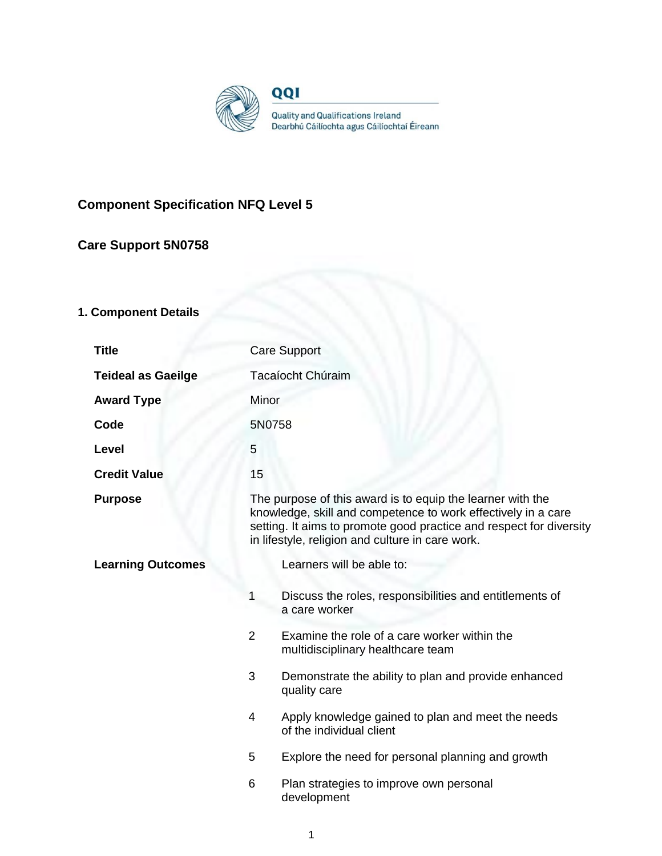

# **Component Specification NFQ Level 5**

# **Care Support 5N0758**

# **1. Component Details**

| <b>Title</b>              | <b>Care Support</b>                                                                                                                                                                                                                                    |                                                                                   |
|---------------------------|--------------------------------------------------------------------------------------------------------------------------------------------------------------------------------------------------------------------------------------------------------|-----------------------------------------------------------------------------------|
| <b>Teideal as Gaeilge</b> | Tacaíocht Chúraim                                                                                                                                                                                                                                      |                                                                                   |
| <b>Award Type</b>         | Minor                                                                                                                                                                                                                                                  |                                                                                   |
| Code                      | 5N0758                                                                                                                                                                                                                                                 |                                                                                   |
| <b>Level</b>              | 5                                                                                                                                                                                                                                                      |                                                                                   |
| <b>Credit Value</b>       | 15                                                                                                                                                                                                                                                     |                                                                                   |
| <b>Purpose</b>            | The purpose of this award is to equip the learner with the<br>knowledge, skill and competence to work effectively in a care<br>setting. It aims to promote good practice and respect for diversity<br>in lifestyle, religion and culture in care work. |                                                                                   |
| <b>Learning Outcomes</b>  |                                                                                                                                                                                                                                                        | Learners will be able to:                                                         |
|                           |                                                                                                                                                                                                                                                        | Discuss the roles, responsibilities and entitlements of<br>a care worker          |
|                           | $\overline{2}$                                                                                                                                                                                                                                         | Examine the role of a care worker within the<br>multidisciplinary healthcare team |
|                           | 3                                                                                                                                                                                                                                                      | Demonstrate the ability to plan and provide enhanced<br>quality care              |
|                           | 4                                                                                                                                                                                                                                                      | Apply knowledge gained to plan and meet the needs<br>of the individual client     |
|                           | 5                                                                                                                                                                                                                                                      | Explore the need for personal planning and growth                                 |
|                           | 6                                                                                                                                                                                                                                                      | Plan strategies to improve own personal<br>development                            |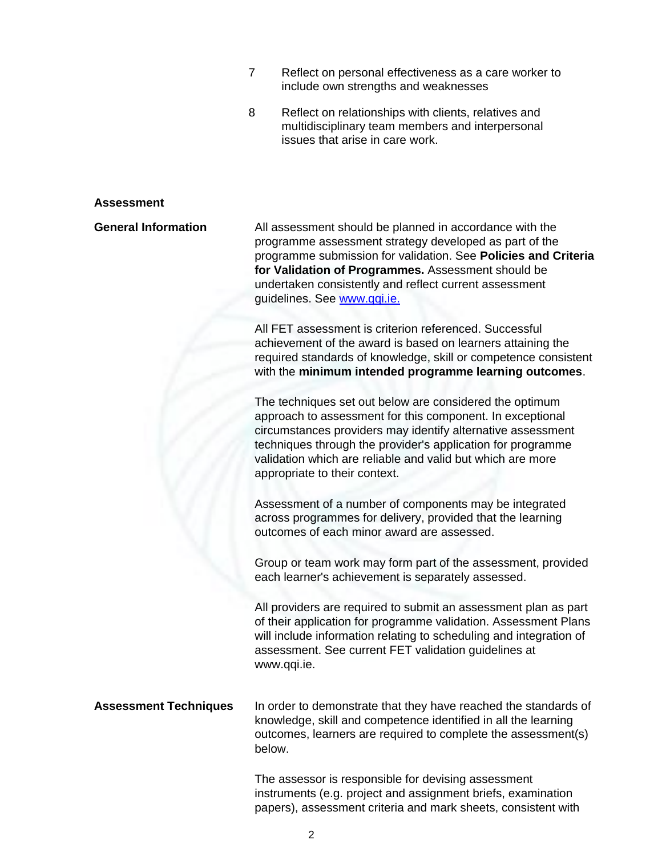- 7 Reflect on personal effectiveness as a care worker to include own strengths and weaknesses
- 8 Reflect on relationships with clients, relatives and multidisciplinary team members and interpersonal issues that arise in care work.

#### **Assessment**

**General Information** All assessment should be planned in accordance with the programme assessment strategy developed as part of the programme submission for validation. See **Policies and Criteria for Validation of Programmes.** Assessment should be undertaken consistently and reflect current assessment guidelines. See [www.qqi.ie.](http://www.qqi.ie/) 

> All FET assessment is criterion referenced. Successful achievement of the award is based on learners attaining the required standards of knowledge, skill or competence consistent with the **minimum intended programme learning outcomes**.

The techniques set out below are considered the optimum approach to assessment for this component. In exceptional circumstances providers may identify alternative assessment techniques through the provider's application for programme validation which are reliable and valid but which are more appropriate to their context.

Assessment of a number of components may be integrated across programmes for delivery, provided that the learning outcomes of each minor award are assessed.

Group or team work may form part of the assessment, provided each learner's achievement is separately assessed.

All providers are required to submit an assessment plan as part of their application for programme validation. Assessment Plans will include information relating to scheduling and integration of assessment. See current FET validation guidelines at [www.qqi.ie.](http://www.qqi.ie/)

**Assessment Techniques** In order to demonstrate that they have reached the standards of knowledge, skill and competence identified in all the learning outcomes, learners are required to complete the assessment(s) below.

> The assessor is responsible for devising assessment instruments (e.g. project and assignment briefs, examination papers), assessment criteria and mark sheets, consistent with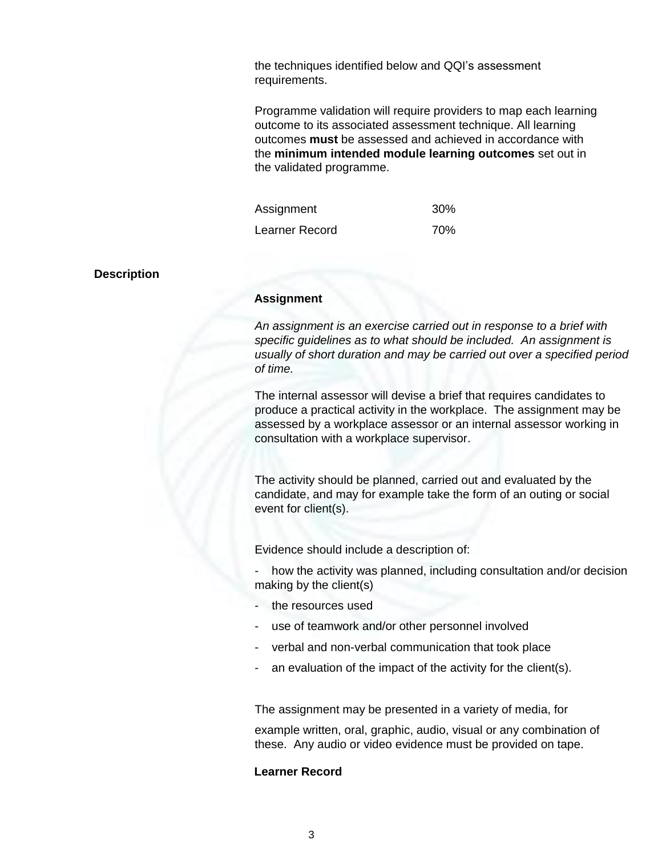the techniques identified below and QQI's assessment requirements.

Programme validation will require providers to map each learning outcome to its associated assessment technique. All learning outcomes **must** be assessed and achieved in accordance with the **minimum intended module learning outcomes** set out in the validated programme.

| Assignment            | <b>30%</b> |
|-----------------------|------------|
| <b>Learner Record</b> | 70%        |

#### **Description**

#### **Assignment**

*An assignment is an exercise carried out in response to a brief with specific guidelines as to what should be included. An assignment is usually of short duration and may be carried out over a specified period of time.*

The internal assessor will devise a brief that requires candidates to produce a practical activity in the workplace. The assignment may be assessed by a workplace assessor or an internal assessor working in consultation with a workplace supervisor.

The activity should be planned, carried out and evaluated by the candidate, and may for example take the form of an outing or social event for client(s).

Evidence should include a description of:

how the activity was planned, including consultation and/or decision making by the client(s)

- the resources used
- use of teamwork and/or other personnel involved
- verbal and non-verbal communication that took place
- an evaluation of the impact of the activity for the client(s).

The assignment may be presented in a variety of media, for

example written, oral, graphic, audio, visual or any combination of these. Any audio or video evidence must be provided on tape.

# **Learner Record**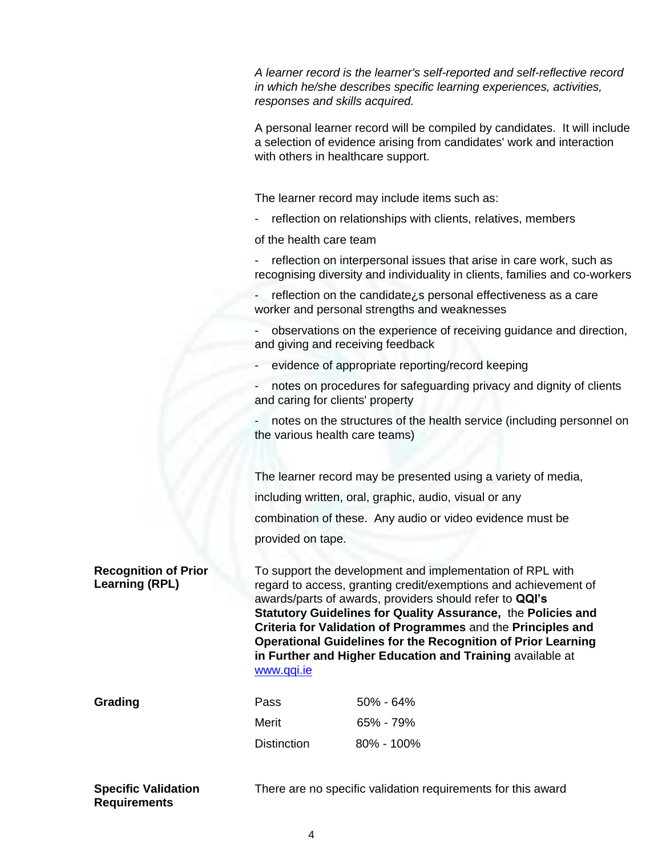*A learner record is the learner's self-reported and self-reflective record in which he/she describes specific learning experiences, activities, responses and skills acquired.*

A personal learner record will be compiled by candidates. It will include a selection of evidence arising from candidates' work and interaction with others in healthcare support.

The learner record may include items such as:

- reflection on relationships with clients, relatives, members

of the health care team

- reflection on interpersonal issues that arise in care work, such as recognising diversity and individuality in clients, families and co-workers
- reflection on the candidate¿s personal effectiveness as a care worker and personal strengths and weaknesses

- observations on the experience of receiving guidance and direction, and giving and receiving feedback

- evidence of appropriate reporting/record keeping
- notes on procedures for safeguarding privacy and dignity of clients and caring for clients' property

notes on the structures of the health service (including personnel on the various health care teams)

The learner record may be presented using a variety of media, including written, oral, graphic, audio, visual or any combination of these. Any audio or video evidence must be provided on tape.

**Recognition of Prior Learning (RPL)**

To support the development and implementation of RPL with regard to access, granting credit/exemptions and achievement of awards/parts of awards, providers should refer to **QQI's Statutory Guidelines for Quality Assurance,** the **Policies and Criteria for Validation of Programmes** and the **Principles and Operational Guidelines for the Recognition of Prior Learning in Further and Higher Education and Training** available at [www.qqi.ie](http://www.qqi.ie/)

**Grading** 

| Pass               | $50\% - 64\%$  |
|--------------------|----------------|
| Merit              | $65\% - 79\%$  |
| <b>Distinction</b> | $80\% - 100\%$ |

**Specific Validation Requirements**

There are no specific validation requirements for this award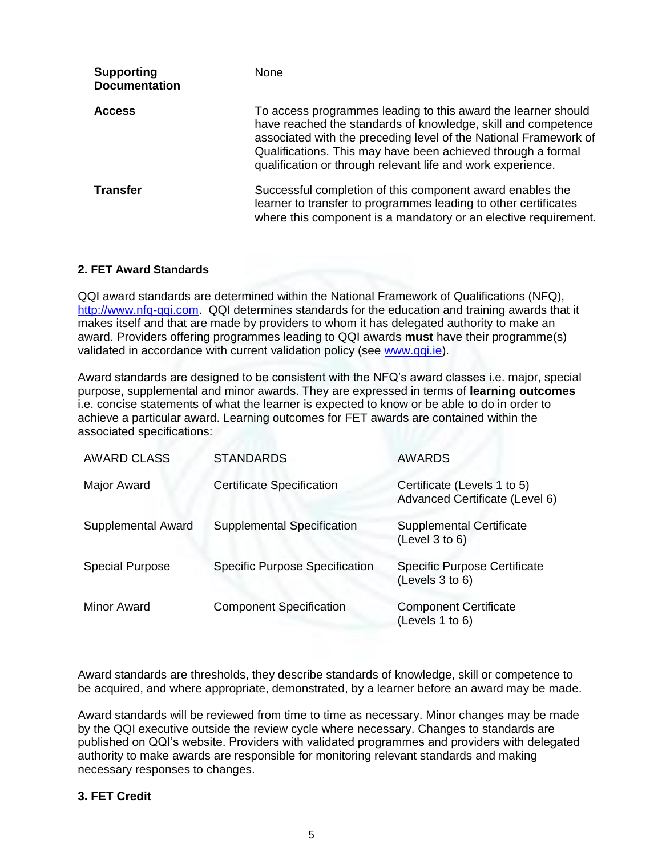| <b>Supporting</b><br><b>Documentation</b> | <b>None</b>                                                                                                                                                                                                                                                                                                                       |
|-------------------------------------------|-----------------------------------------------------------------------------------------------------------------------------------------------------------------------------------------------------------------------------------------------------------------------------------------------------------------------------------|
| <b>Access</b>                             | To access programmes leading to this award the learner should<br>have reached the standards of knowledge, skill and competence<br>associated with the preceding level of the National Framework of<br>Qualifications. This may have been achieved through a formal<br>qualification or through relevant life and work experience. |
| <b>Transfer</b>                           | Successful completion of this component award enables the<br>learner to transfer to programmes leading to other certificates<br>where this component is a mandatory or an elective requirement.                                                                                                                                   |

### **2. FET Award Standards**

QQI award standards are determined within the National Framework of Qualifications (NFQ), [http://www.nfq-qqi.com.](http://www.nfq-qqi.com/) QQI determines standards for the education and training awards that it makes itself and that are made by providers to whom it has delegated authority to make an award. Providers offering programmes leading to QQI awards **must** have their programme(s) validated in accordance with current validation policy (see [www.qqi.ie\)](http://www.qqi.ie/).

Award standards are designed to be consistent with the NFQ's award classes i.e. major, special purpose, supplemental and minor awards. They are expressed in terms of **learning outcomes**  i.e. concise statements of what the learner is expected to know or be able to do in order to achieve a particular award. Learning outcomes for FET awards are contained within the associated specifications:

| <b>AWARD CLASS</b>        | <b>STANDARDS</b>                      | <b>AWARDS</b>                                                 |
|---------------------------|---------------------------------------|---------------------------------------------------------------|
| Major Award               | <b>Certificate Specification</b>      | Certificate (Levels 1 to 5)<br>Advanced Certificate (Level 6) |
| <b>Supplemental Award</b> | <b>Supplemental Specification</b>     | <b>Supplemental Certificate</b><br>(Level 3 to 6)             |
| <b>Special Purpose</b>    | <b>Specific Purpose Specification</b> | <b>Specific Purpose Certificate</b><br>(Levels 3 to 6)        |
| Minor Award               | <b>Component Specification</b>        | <b>Component Certificate</b><br>(Levels 1 to 6)               |

Award standards are thresholds, they describe standards of knowledge, skill or competence to be acquired, and where appropriate, demonstrated, by a learner before an award may be made.

Award standards will be reviewed from time to time as necessary. Minor changes may be made by the QQI executive outside the review cycle where necessary. Changes to standards are published on QQI's website. Providers with validated programmes and providers with delegated authority to make awards are responsible for monitoring relevant standards and making necessary responses to changes.

### **3. FET Credit**